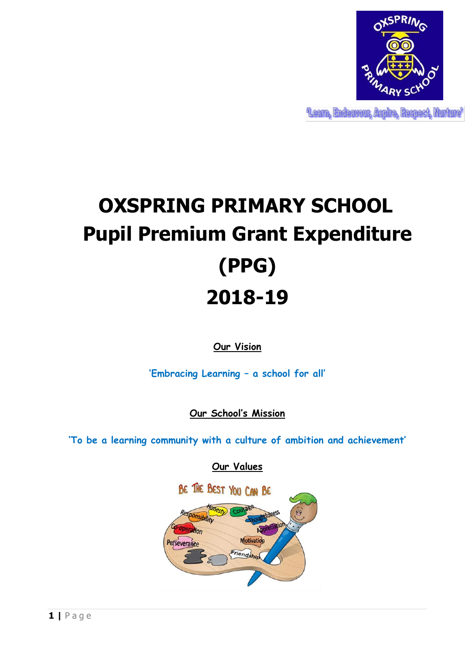

Leam, Endeavour, Aspire, Respect, Murture'

## **OXSPRING PRIMARY SCHOOL Pupil Premium Grant Expenditure (PPG) 2018-19**

**Our Vision**

**'Embracing Learning – a school for all'**

**Our School's Mission**

**'To be a learning community with a culture of ambition and achievement'**

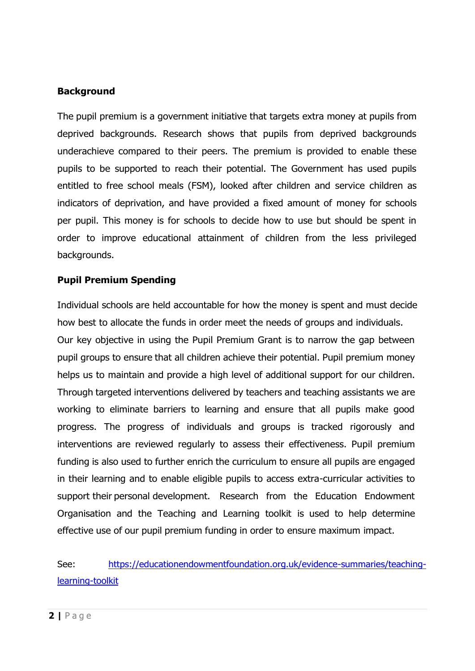## **Background**

The pupil premium is a government initiative that targets extra money at pupils from deprived backgrounds. Research shows that pupils from deprived backgrounds underachieve compared to their peers. The premium is provided to enable these pupils to be supported to reach their potential. The Government has used pupils entitled to free school meals (FSM), looked after children and service children as indicators of deprivation, and have provided a fixed amount of money for schools per pupil. This money is for schools to decide how to use but should be spent in order to improve educational attainment of children from the less privileged backgrounds.

## **Pupil Premium Spending**

Individual schools are held accountable for how the money is spent and must decide how best to allocate the funds in order meet the needs of groups and individuals. Our key objective in using the Pupil Premium Grant is to narrow the gap between pupil groups to ensure that all children achieve their potential. Pupil premium money helps us to maintain and provide a high level of additional support for our children. Through targeted interventions delivered by teachers and teaching assistants we are working to eliminate barriers to learning and ensure that all pupils make good progress. The progress of individuals and groups is tracked rigorously and interventions are reviewed regularly to assess their effectiveness. Pupil premium funding is also used to further enrich the curriculum to ensure all pupils are engaged in their learning and to enable eligible pupils to access extra-curricular activities to support their personal development. Research from the Education Endowment Organisation and the Teaching and Learning toolkit is used to help determine effective use of our pupil premium funding in order to ensure maximum impact.

## See: [https://educationendowmentfoundation.org.uk/evidence-summaries/teaching](https://educationendowmentfoundation.org.uk/evidence-summaries/teaching-learning-toolkit)[learning-toolkit](https://educationendowmentfoundation.org.uk/evidence-summaries/teaching-learning-toolkit)